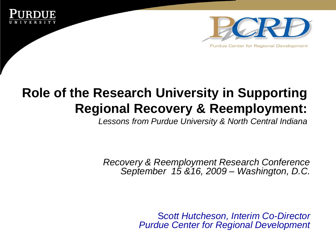



## **Role of the Research University in Supporting Regional Recovery & Reemployment:**

*Lessons from Purdue University & North Central Indiana* 

*Recovery & Reemployment Research Conference September 15 &16, 2009 – Washington, D.C.* 

> S*cott Hutcheson, Interim Co-Director Purdue Center for Regional Development*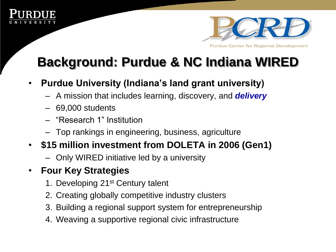



## **Background: Purdue & NC Indiana WIRED**

- **Purdue University (Indiana's land grant university)**
	- A mission that includes learning, discovery, and *delivery*
	- 69,000 students
	- "Research 1" Institution
	- Top rankings in engineering, business, agriculture
- **\$15 million investment from DOLETA in 2006 (Gen1)** 
	- Only WIRED initiative led by a university

#### • **Four Key Strategies**

- 1. Developing 21st Century talent
- 2. Creating globally competitive industry clusters
- 3. Building a regional support system for entrepreneurship
- 4. Weaving a supportive regional civic infrastructure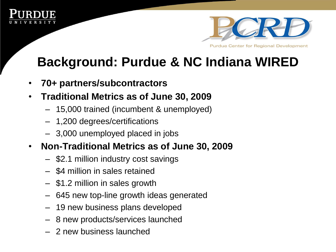



## **Background: Purdue & NC Indiana WIRED**

- **70+ partners/subcontractors**
- **Traditional Metrics as of June 30, 2009** 
	- 15,000 trained (incumbent & unemployed)
	- 1,200 degrees/certifications
	- 3,000 unemployed placed in jobs
- **Non-Traditional Metrics as of June 30, 2009** 
	- \$2.1 million industry cost savings
	- \$4 million in sales retained
	- \$1.2 million in sales growth
	- 645 new top-line growth ideas generated
	- 19 new business plans developed
	- 8 new products/services launched
	- 2 new business launched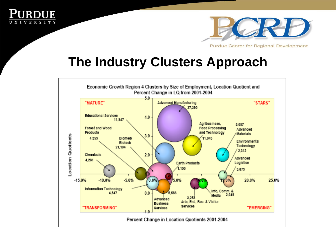



#### **The Industry Clusters Approach**

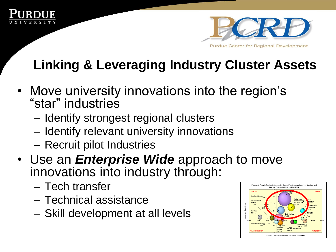



# **Linking & Leveraging Industry Cluster Assets**

- Move university innovations into the region's "star" industries
	- Identify strongest regional clusters
	- Identify relevant university innovations
	- Recruit pilot Industries
- Use an *Enterprise Wide* approach to move innovations into industry through:
	- Tech transfer
	- Technical assistance
	- Skill development at all levels

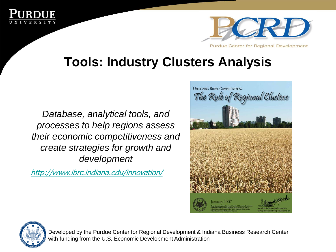



### **Tools: Industry Clusters Analysis**

*Database, analytical tools, and processes to help regions assess their economic competitiveness and create strategies for growth and development* 

<http://www.ibrc.indiana.edu/innovation/>





Developed by the Purdue Center for Regional Development & Indiana Business Research Center with funding from the U.S. Economic Development Administration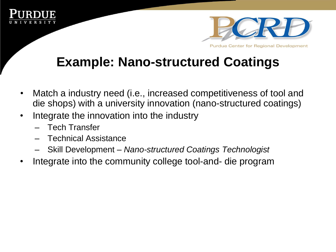



## **Example: Nano-structured Coatings**

- Match a industry need (i.e., increased competitiveness of tool and die shops) with a university innovation (nano-structured coatings)
- Integrate the innovation into the industry
	- Tech Transfer
	- Technical Assistance
	- Skill Development *Nano-structured Coatings Technologist*
- Integrate into the community college tool-and- die program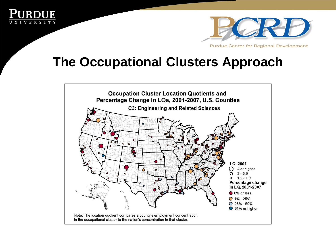



#### **The Occupational Clusters Approach**

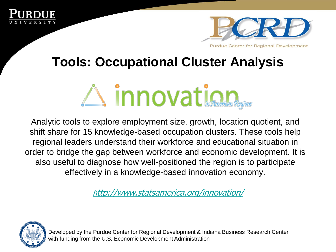



### **Tools: Occupational Cluster Analysis**



Analytic tools to explore employment size, growth, location quotient, and shift share for 15 knowledge-based occupation clusters. These tools help regional leaders understand their workforce and educational situation in order to bridge the gap between workforce and economic development. It is also useful to diagnose how well-positioned the region is to participate effectively in a knowledge-based innovation economy.

[h](http://www.statsamerica.org/innovation/)[ttp://www.statsamerica.org/innovation/](http://www.statsamerica.org/innovation/)



Developed by the Purdue Center for Regional Development & Indiana Business Research Center with funding from the U.S. Economic Development Administration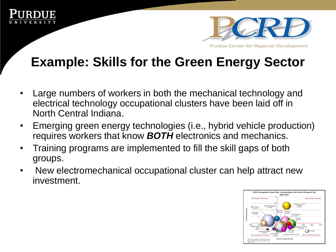



## **Example: Skills for the Green Energy Sector**

- Large numbers of workers in both the mechanical technology and electrical technology occupational clusters have been laid off in North Central Indiana.
- Emerging green energy technologies (i.e., hybrid vehicle production) requires workers that know *BOTH* electronics and mechanics.
- Training programs are implemented to fill the skill gaps of both groups.
- New electromechanical occupational cluster can help attract new investment.